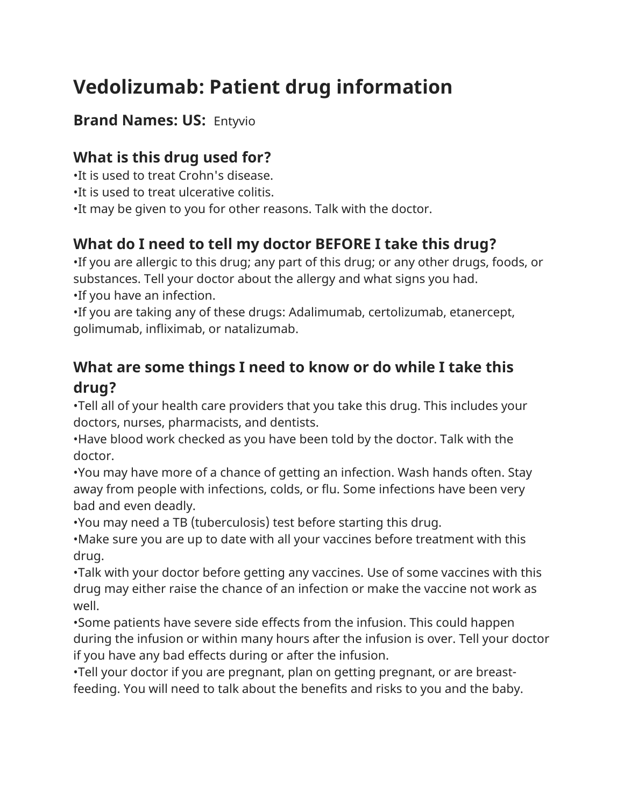# **Vedolizumab: Patient drug information**

#### **Brand Names: US:** Entyvio

# **What is this drug used for?**

•It is used to treat Crohn's disease.

•It is used to treat ulcerative colitis.

•It may be given to you for other reasons. Talk with the doctor.

# **What do I need to tell my doctor BEFORE I take this drug?**

•If you are allergic to this drug; any part of this drug; or any other drugs, foods, or substances. Tell your doctor about the allergy and what signs you had. •If you have an infection.

•If you are taking any of these drugs: Adalimumab, certolizumab, etanercept, golimumab, infliximab, or natalizumab.

### **What are some things I need to know or do while I take this drug?**

•Tell all of your health care providers that you take this drug. This includes your doctors, nurses, pharmacists, and dentists.

•Have blood work checked as you have been told by the doctor. Talk with the doctor.

•You may have more of a chance of getting an infection. Wash hands often. Stay away from people with infections, colds, or flu. Some infections have been very bad and even deadly.

•You may need a TB (tuberculosis) test before starting this drug.

•Make sure you are up to date with all your vaccines before treatment with this drug.

•Talk with your doctor before getting any vaccines. Use of some vaccines with this drug may either raise the chance of an infection or make the vaccine not work as well.

•Some patients have severe side effects from the infusion. This could happen during the infusion or within many hours after the infusion is over. Tell your doctor if you have any bad effects during or after the infusion.

•Tell your doctor if you are pregnant, plan on getting pregnant, or are breastfeeding. You will need to talk about the benefits and risks to you and the baby.